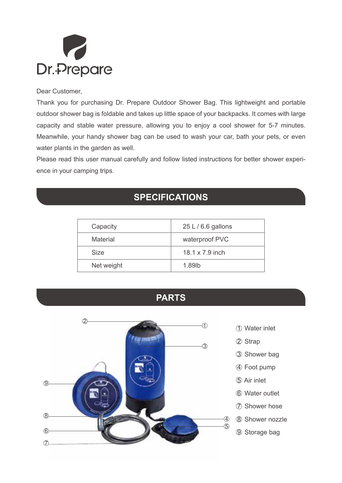

## Dear Customer,

Thank you for purchasing Dr. Prepare Outdoor Shower Bag. This lightweight and portable outdoor shower bag is foldable and takes up little space of your backpacks. It comes with large capacity and stable water pressure, allowing you to enjoy a cool shower for 5-7 minutes. Meanwhile, your handy shower bag can be used to wash your car, bath your pets, or even water plants in the garden as well.

Please read this user manual carefully and follow listed instructions for better shower experience in your camping trips.

## **SPECIFICATIONS**

|  | Capacity    | $25 L/6.6$ gallons |
|--|-------------|--------------------|
|  | Material    | waterproof PVC     |
|  | <b>Size</b> | 18.1 x 7.9 inch    |
|  | Net weight  | 189lb              |
|  |             |                    |





- 1 Water inlet
- 2 Strap
- 3 Shower bag
- 4 Foot pump
- 5 Air inlet
- 6 Water outlet
- 7 Shower hose
- 8 Shower nozzle
- 9 Storage bag